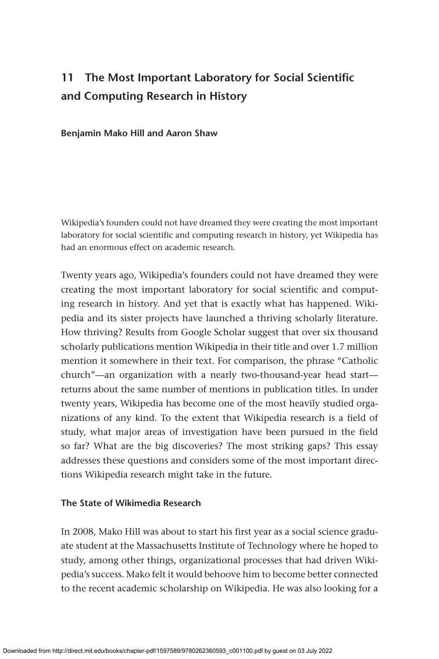# **11 The Most Important Laboratory for Social Scientific and Computing Research in History**

## **Benjamin Mako Hill and Aaron Shaw**

Wikipedia's founders could not have dreamed they were creating the most important laboratory for social scientific and computing research in history, yet Wikipedia has had an enormous effect on academic research.

Twenty years ago, Wikipedia's founders could not have dreamed they were creating the most important laboratory for social scientific and computing research in history. And yet that is exactly what has happened. Wikipedia and its sister projects have launched a thriving scholarly literature. How thriving? Results from Google Scholar suggest that over six thousand scholarly publications mention Wikipedia in their title and over 1.7 million mention it somewhere in their text. For comparison, the phrase "Catholic church"—an organization with a nearly two-thousand-year head start returns about the same number of mentions in publication titles. In under twenty years, Wikipedia has become one of the most heavily studied organizations of any kind. To the extent that Wikipedia research is a field of study, what major areas of investigation have been pursued in the field so far? What are the big discoveries? The most striking gaps? This essay addresses these questions and considers some of the most important directions Wikipedia research might take in the future.

# **The State of Wikimedia Research**

In 2008, Mako Hill was about to start his first year as a social science graduate student at the Massachusetts Institute of Technology where he hoped to study, among other things, organizational processes that had driven Wikipedia's success. Mako felt it would behoove him to become better connected to the recent academic scholarship on Wikipedia. He was also looking for a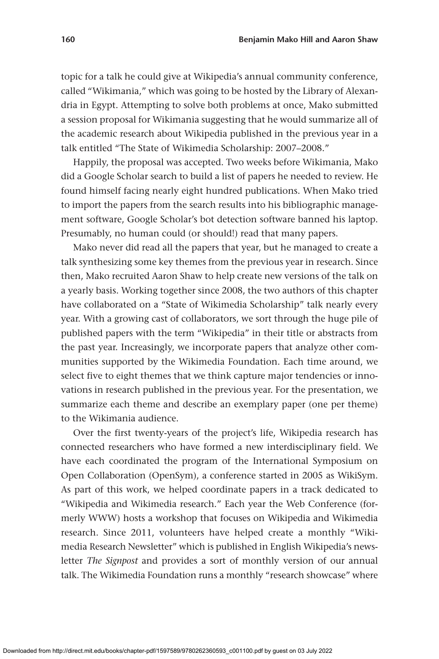topic for a talk he could give at Wikipedia's annual community conference, called "Wikimania," which was going to be hosted by the Library of Alexandria in Egypt. Attempting to solve both problems at once, Mako submitted a session proposal for Wikimania suggesting that he would summarize all of the academic research about Wikipedia published in the previous year in a talk entitled "The State of Wikimedia Scholarship: 2007–2008."

Happily, the proposal was accepted. Two weeks before Wikimania, Mako did a Google Scholar search to build a list of papers he needed to review. He found himself facing nearly eight hundred publications. When Mako tried to import the papers from the search results into his bibliographic management software, Google Scholar's bot detection software banned his laptop. Presumably, no human could (or should!) read that many papers.

Mako never did read all the papers that year, but he managed to create a talk synthesizing some key themes from the previous year in research. Since then, Mako recruited Aaron Shaw to help create new versions of the talk on a yearly basis. Working together since 2008, the two authors of this chapter have collaborated on a "State of Wikimedia Scholarship" talk nearly every year. With a growing cast of collaborators, we sort through the huge pile of published papers with the term "Wikipedia" in their title or abstracts from the past year. Increasingly, we incorporate papers that analyze other communities supported by the Wikimedia Foundation. Each time around, we select five to eight themes that we think capture major tendencies or innovations in research published in the previous year. For the presentation, we summarize each theme and describe an exemplary paper (one per theme) to the Wikimania audience.

Over the first twenty-years of the project's life, Wikipedia research has connected researchers who have formed a new interdisciplinary field. We have each coordinated the program of the International Symposium on Open Collaboration (OpenSym), a conference started in 2005 as WikiSym. As part of this work, we helped coordinate papers in a track dedicated to "Wikipedia and Wikimedia research." Each year the Web Conference (formerly WWW) hosts a workshop that focuses on Wikipedia and Wikimedia research. Since 2011, volunteers have helped create a monthly "Wikimedia Research Newsletter" which is published in English Wikipedia's newsletter *The Signpost* and provides a sort of monthly version of our annual talk. The Wikimedia Foundation runs a monthly "research showcase" where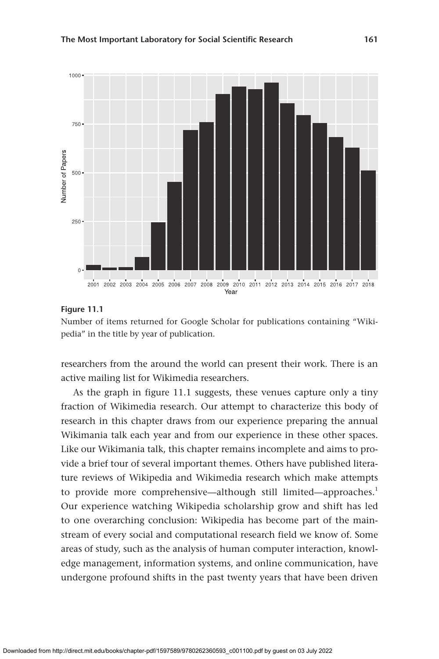

**Figure 11.1**

Number of items returned for Google Scholar for publications containing "Wikipedia" in the title by year of publication.

researchers from the around the world can present their work. There is an active mailing list for Wikimedia researchers.

As the graph in figure 11.1 suggests, these venues capture only a tiny fraction of Wikimedia research. Our attempt to characterize this body of research in this chapter draws from our experience preparing the annual Wikimania talk each year and from our experience in these other spaces. Like our Wikimania talk, this chapter remains incomplete and aims to provide a brief tour of several important themes. Others have published literature reviews of Wikipedia and Wikimedia research which make attempts to provide more comprehensive—although still limited—approaches.<sup>1</sup> Our experience watching Wikipedia scholarship grow and shift has led to one overarching conclusion: Wikipedia has become part of the mainstream of every social and computational research field we know of. Some areas of study, such as the analysis of human computer interaction, knowledge management, information systems, and online communication, have undergone profound shifts in the past twenty years that have been driven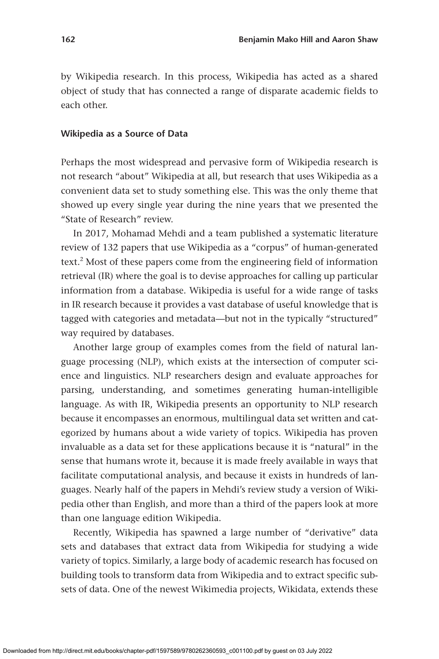by Wikipedia research. In this process, Wikipedia has acted as a shared object of study that has connected a range of disparate academic fields to each other.

#### **Wikipedia as a Source of Data**

Perhaps the most widespread and pervasive form of Wikipedia research is not research "about" Wikipedia at all, but research that uses Wikipedia as a convenient data set to study something else. This was the only theme that showed up every single year during the nine years that we presented the "State of Research" review.

In 2017, Mohamad Mehdi and a team published a systematic literature review of 132 papers that use Wikipedia as a "corpus" of human-generated text.<sup>2</sup> Most of these papers come from the engineering field of information retrieval (IR) where the goal is to devise approaches for calling up particular information from a database. Wikipedia is useful for a wide range of tasks in IR research because it provides a vast database of useful knowledge that is tagged with categories and metadata—but not in the typically "structured" way required by databases.

Another large group of examples comes from the field of natural language processing (NLP), which exists at the intersection of computer science and linguistics. NLP researchers design and evaluate approaches for parsing, understanding, and sometimes generating human-intelligible language. As with IR, Wikipedia presents an opportunity to NLP research because it encompasses an enormous, multilingual data set written and categorized by humans about a wide variety of topics. Wikipedia has proven invaluable as a data set for these applications because it is "natural" in the sense that humans wrote it, because it is made freely available in ways that facilitate computational analysis, and because it exists in hundreds of languages. Nearly half of the papers in Mehdi's review study a version of Wikipedia other than English, and more than a third of the papers look at more than one language edition Wikipedia.

Recently, Wikipedia has spawned a large number of "derivative" data sets and databases that extract data from Wikipedia for studying a wide variety of topics. Similarly, a large body of academic research has focused on building tools to transform data from Wikipedia and to extract specific subsets of data. One of the newest Wikimedia projects, Wikidata, extends these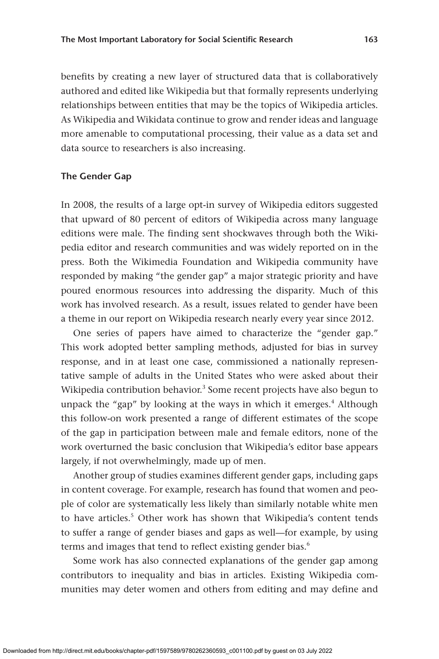benefits by creating a new layer of structured data that is collaboratively authored and edited like Wikipedia but that formally represents underlying relationships between entities that may be the topics of Wikipedia articles. As Wikipedia and Wikidata continue to grow and render ideas and language more amenable to computational processing, their value as a data set and data source to researchers is also increasing.

#### **The Gender Gap**

In 2008, the results of a large opt-in survey of Wikipedia editors suggested that upward of 80 percent of editors of Wikipedia across many language editions were male. The finding sent shockwaves through both the Wikipedia editor and research communities and was widely reported on in the press. Both the Wikimedia Foundation and Wikipedia community have responded by making "the gender gap" a major strategic priority and have poured enormous resources into addressing the disparity. Much of this work has involved research. As a result, issues related to gender have been a theme in our report on Wikipedia research nearly every year since 2012.

One series of papers have aimed to characterize the "gender gap." This work adopted better sampling methods, adjusted for bias in survey response, and in at least one case, commissioned a nationally representative sample of adults in the United States who were asked about their Wikipedia contribution behavior.<sup>3</sup> Some recent projects have also begun to unpack the "gap" by looking at the ways in which it emerges.<sup>4</sup> Although this follow-on work presented a range of different estimates of the scope of the gap in participation between male and female editors, none of the work overturned the basic conclusion that Wikipedia's editor base appears largely, if not overwhelmingly, made up of men.

Another group of studies examines different gender gaps, including gaps in content coverage. For example, research has found that women and people of color are systematically less likely than similarly notable white men to have articles.<sup>5</sup> Other work has shown that Wikipedia's content tends to suffer a range of gender biases and gaps as well—for example, by using terms and images that tend to reflect existing gender bias.<sup>6</sup>

Some work has also connected explanations of the gender gap among contributors to inequality and bias in articles. Existing Wikipedia communities may deter women and others from editing and may define and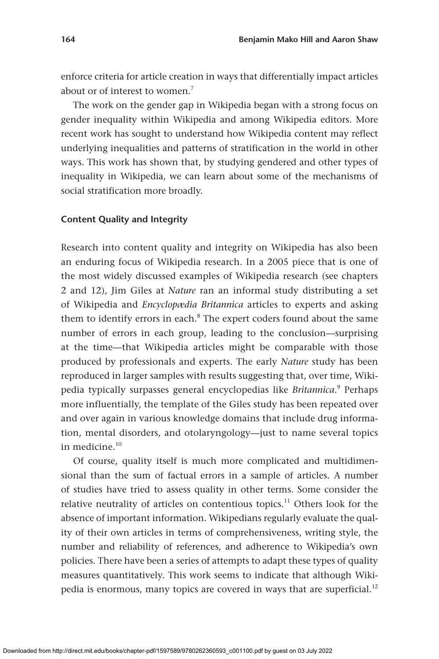enforce criteria for article creation in ways that differentially impact articles about or of interest to women.<sup>7</sup>

The work on the gender gap in Wikipedia began with a strong focus on gender inequality within Wikipedia and among Wikipedia editors. More recent work has sought to understand how Wikipedia content may reflect underlying inequalities and patterns of stratification in the world in other ways. This work has shown that, by studying gendered and other types of inequality in Wikipedia, we can learn about some of the mechanisms of social stratification more broadly.

#### **Content Quality and Integrity**

Research into content quality and integrity on Wikipedia has also been an enduring focus of Wikipedia research. In a 2005 piece that is one of the most widely discussed examples of Wikipedia research (see chapters 2 and 12), Jim Giles at *Nature* ran an informal study distributing a set of Wikipedia and *Encyclopædia Britannica* articles to experts and asking them to identify errors in each.<sup>8</sup> The expert coders found about the same number of errors in each group, leading to the conclusion—surprising at the time—that Wikipedia articles might be comparable with those produced by professionals and experts. The early *Nature* study has been reproduced in larger samples with results suggesting that, over time, Wikipedia typically surpasses general encyclopedias like *Britannica*. 9 Perhaps more influentially, the template of the Giles study has been repeated over and over again in various knowledge domains that include drug information, mental disorders, and otolaryngology—just to name several topics in medicine.<sup>10</sup>

Of course, quality itself is much more complicated and multidimensional than the sum of factual errors in a sample of articles. A number of studies have tried to assess quality in other terms. Some consider the relative neutrality of articles on contentious topics.<sup>11</sup> Others look for the absence of important information. Wikipedians regularly evaluate the quality of their own articles in terms of comprehensiveness, writing style, the number and reliability of references, and adherence to Wikipedia's own policies. There have been a series of attempts to adapt these types of quality measures quantitatively. This work seems to indicate that although Wikipedia is enormous, many topics are covered in ways that are superficial.<sup>12</sup>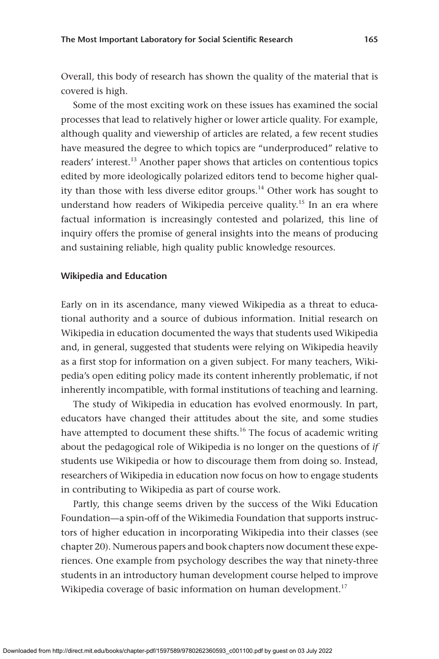Overall, this body of research has shown the quality of the material that is covered is high.

Some of the most exciting work on these issues has examined the social processes that lead to relatively higher or lower article quality. For example, although quality and viewership of articles are related, a few recent studies have measured the degree to which topics are "underproduced" relative to readers' interest.<sup>13</sup> Another paper shows that articles on contentious topics edited by more ideologically polarized editors tend to become higher quality than those with less diverse editor groups.<sup>14</sup> Other work has sought to understand how readers of Wikipedia perceive quality.<sup>15</sup> In an era where factual information is increasingly contested and polarized, this line of inquiry offers the promise of general insights into the means of producing and sustaining reliable, high quality public knowledge resources.

#### **Wikipedia and Education**

Early on in its ascendance, many viewed Wikipedia as a threat to educational authority and a source of dubious information. Initial research on Wikipedia in education documented the ways that students used Wikipedia and, in general, suggested that students were relying on Wikipedia heavily as a first stop for information on a given subject. For many teachers, Wikipedia's open editing policy made its content inherently problematic, if not inherently incompatible, with formal institutions of teaching and learning.

The study of Wikipedia in education has evolved enormously. In part, educators have changed their attitudes about the site, and some studies have attempted to document these shifts.<sup>16</sup> The focus of academic writing about the pedagogical role of Wikipedia is no longer on the questions of *if* students use Wikipedia or how to discourage them from doing so. Instead, researchers of Wikipedia in education now focus on how to engage students in contributing to Wikipedia as part of course work.

Partly, this change seems driven by the success of the Wiki Education Foundation—a spin-off of the Wikimedia Foundation that supports instructors of higher education in incorporating Wikipedia into their classes (see chapter 20). Numerous papers and book chapters now document these experiences. One example from psychology describes the way that ninety-three students in an introductory human development course helped to improve Wikipedia coverage of basic information on human development.<sup>17</sup>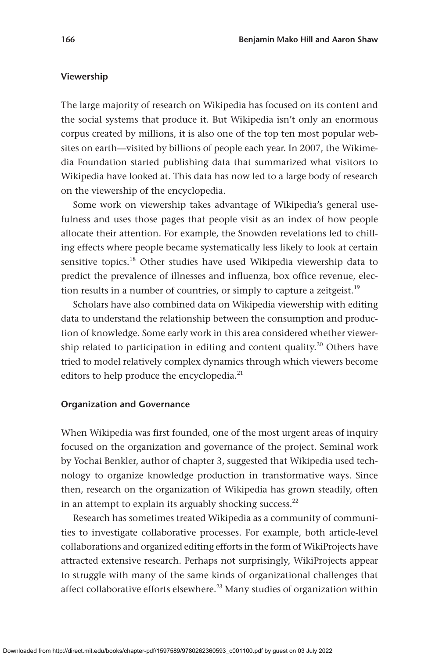#### **Viewership**

The large majority of research on Wikipedia has focused on its content and the social systems that produce it. But Wikipedia isn't only an enormous corpus created by millions, it is also one of the top ten most popular websites on earth—visited by billions of people each year. In 2007, the Wikimedia Foundation started publishing data that summarized what visitors to Wikipedia have looked at. This data has now led to a large body of research on the viewership of the encyclopedia.

Some work on viewership takes advantage of Wikipedia's general usefulness and uses those pages that people visit as an index of how people allocate their attention. For example, the Snowden revelations led to chilling effects where people became systematically less likely to look at certain sensitive topics.<sup>18</sup> Other studies have used Wikipedia viewership data to predict the prevalence of illnesses and influenza, box office revenue, election results in a number of countries, or simply to capture a zeitgeist.<sup>19</sup>

Scholars have also combined data on Wikipedia viewership with editing data to understand the relationship between the consumption and production of knowledge. Some early work in this area considered whether viewership related to participation in editing and content quality.<sup>20</sup> Others have tried to model relatively complex dynamics through which viewers become editors to help produce the encyclopedia. $^{21}$ 

#### **Organization and Governance**

When Wikipedia was first founded, one of the most urgent areas of inquiry focused on the organization and governance of the project. Seminal work by Yochai Benkler, author of chapter 3, suggested that Wikipedia used technology to organize knowledge production in transformative ways. Since then, research on the organization of Wikipedia has grown steadily, often in an attempt to explain its arguably shocking success. $^{22}$ 

Research has sometimes treated Wikipedia as a community of communities to investigate collaborative processes. For example, both article-level collaborations and organized editing efforts in the form of WikiProjects have attracted extensive research. Perhaps not surprisingly, WikiProjects appear to struggle with many of the same kinds of organizational challenges that affect collaborative efforts elsewhere.<sup>23</sup> Many studies of organization within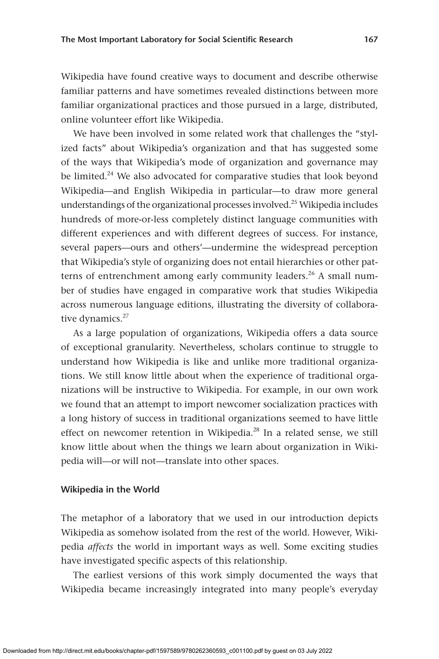Wikipedia have found creative ways to document and describe otherwise familiar patterns and have sometimes revealed distinctions between more familiar organizational practices and those pursued in a large, distributed, online volunteer effort like Wikipedia.

We have been involved in some related work that challenges the "stylized facts" about Wikipedia's organization and that has suggested some of the ways that Wikipedia's mode of organization and governance may be limited.<sup>24</sup> We also advocated for comparative studies that look beyond Wikipedia—and English Wikipedia in particular—to draw more general understandings of the organizational processes involved.<sup>25</sup> Wikipedia includes hundreds of more-or-less completely distinct language communities with different experiences and with different degrees of success. For instance, several papers—ours and others'—undermine the widespread perception that Wikipedia's style of organizing does not entail hierarchies or other patterns of entrenchment among early community leaders.<sup>26</sup> A small number of studies have engaged in comparative work that studies Wikipedia across numerous language editions, illustrating the diversity of collaborative dynamics.<sup>27</sup>

As a large population of organizations, Wikipedia offers a data source of exceptional granularity. Nevertheless, scholars continue to struggle to understand how Wikipedia is like and unlike more traditional organizations. We still know little about when the experience of traditional organizations will be instructive to Wikipedia. For example, in our own work we found that an attempt to import newcomer socialization practices with a long history of success in traditional organizations seemed to have little effect on newcomer retention in Wikipedia. $^{28}$  In a related sense, we still know little about when the things we learn about organization in Wikipedia will—or will not—translate into other spaces.

#### **Wikipedia in the World**

The metaphor of a laboratory that we used in our introduction depicts Wikipedia as somehow isolated from the rest of the world. However, Wikipedia *affects* the world in important ways as well. Some exciting studies have investigated specific aspects of this relationship.

The earliest versions of this work simply documented the ways that Wikipedia became increasingly integrated into many people's everyday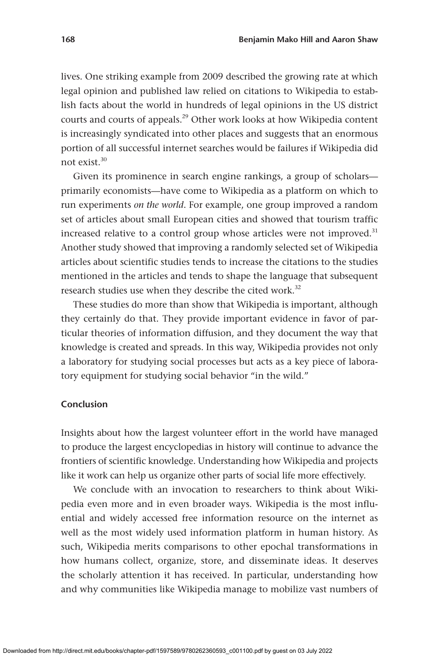lives. One striking example from 2009 described the growing rate at which legal opinion and published law relied on citations to Wikipedia to establish facts about the world in hundreds of legal opinions in the US district courts and courts of appeals.29 Other work looks at how Wikipedia content is increasingly syndicated into other places and suggests that an enormous portion of all successful internet searches would be failures if Wikipedia did not exist.30

Given its prominence in search engine rankings, a group of scholars primarily economists—have come to Wikipedia as a platform on which to run experiments *on the world*. For example, one group improved a random set of articles about small European cities and showed that tourism traffic increased relative to a control group whose articles were not improved.<sup>31</sup> Another study showed that improving a randomly selected set of Wikipedia articles about scientific studies tends to increase the citations to the studies mentioned in the articles and tends to shape the language that subsequent research studies use when they describe the cited work.<sup>32</sup>

These studies do more than show that Wikipedia is important, although they certainly do that. They provide important evidence in favor of particular theories of information diffusion, and they document the way that knowledge is created and spreads. In this way, Wikipedia provides not only a laboratory for studying social processes but acts as a key piece of laboratory equipment for studying social behavior "in the wild."

## **Conclusion**

Insights about how the largest volunteer effort in the world have managed to produce the largest encyclopedias in history will continue to advance the frontiers of scientific knowledge. Understanding how Wikipedia and projects like it work can help us organize other parts of social life more effectively.

We conclude with an invocation to researchers to think about Wikipedia even more and in even broader ways. Wikipedia is the most influential and widely accessed free information resource on the internet as well as the most widely used information platform in human history. As such, Wikipedia merits comparisons to other epochal transformations in how humans collect, organize, store, and disseminate ideas. It deserves the scholarly attention it has received. In particular, understanding how and why communities like Wikipedia manage to mobilize vast numbers of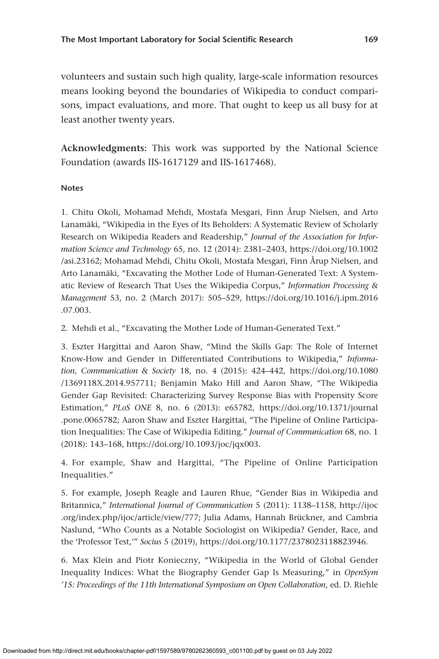volunteers and sustain such high quality, large-scale information resources means looking beyond the boundaries of Wikipedia to conduct comparisons, impact evaluations, and more. That ought to keep us all busy for at least another twenty years.

**Acknowledgments:** This work was supported by the National Science Foundation (awards IIS-1617129 and IIS-1617468).

#### **Notes**

1. Chitu Okoli, Mohamad Mehdi, Mostafa Mesgari, Finn Årup Nielsen, and Arto Lanamäki, "Wikipedia in the Eyes of Its Beholders: A Systematic Review of Scholarly Research on Wikipedia Readers and Readership," *Journal of the Association for Information Science and Technology* 65, no. 12 (2014): 2381–2403, [https://doi.org/10.1002](https://doi.org/10.1002/asi.23162) [/asi.23162](https://doi.org/10.1002/asi.23162); Mohamad Mehdi, Chitu Okoli, Mostafa Mesgari, Finn Årup Nielsen, and Arto Lanamäki, "Excavating the Mother Lode of Human-Generated Text: A Systematic Review of Research That Uses the Wikipedia Corpus," *Information Processing & Management* 53, no. 2 (March 2017): 505–529, [https://doi.org/10.1016/j.ipm.2016](https://doi.org/10.1016/j.ipm.2016.07.003) [.07.003](https://doi.org/10.1016/j.ipm.2016.07.003).

2. Mehdi et al., "Excavating the Mother Lode of Human-Generated Text."

3. Eszter Hargittai and Aaron Shaw, "Mind the Skills Gap: The Role of Internet Know-How and Gender in Differentiated Contributions to Wikipedia," *Information, Communication & Society* 18, no. 4 (2015): 424–442, [https://doi.org/10.1080](https://doi.org/10.1080/1369118X.2014.957711) [/1369118X.2014.957711;](https://doi.org/10.1080/1369118X.2014.957711) Benjamin Mako Hill and Aaron Shaw, "The Wikipedia Gender Gap Revisited: Characterizing Survey Response Bias with Propensity Score Estimation," *PLoS ONE* 8, no. 6 (2013): e65782, [https://doi.org/10.1371/journal](https://doi.org/10.1371/journal.pone.0065782) [.pone.0065782](https://doi.org/10.1371/journal.pone.0065782); Aaron Shaw and Eszter Hargittai, "The Pipeline of Online Participation Inequalities: The Case of Wikipedia Editing." *Journal of Communication* 68, no. 1 (2018): 143–168,<https://doi.org/10.1093/joc/jqx003>.

4. For example, Shaw and Hargittai, "The Pipeline of Online Participation Inequalities."

5. For example, Joseph Reagle and Lauren Rhue, "Gender Bias in Wikipedia and Britannica," *International Journal of Communication* 5 (2011): 1138–1158, [http://ijoc](http://ijoc.org/index.php/ijoc/article/view/777) [.org/index.php/ijoc/article/view/777](http://ijoc.org/index.php/ijoc/article/view/777); Julia Adams, Hannah Brückner, and Cambria Naslund, "Who Counts as a Notable Sociologist on Wikipedia? Gender, Race, and the 'Professor Test,'" *Socius* 5 (2019), [https://doi.org/10.1177/2378023118823946.](https://doi.org/10.1177/2378023118823946)

6. Max Klein and Piotr Konieczny, "Wikipedia in the World of Global Gender Inequality Indices: What the Biography Gender Gap Is Measuring," in *OpenSym '15: Proceedings of the 11th International Symposium on Open Collaboration*, ed. D. Riehle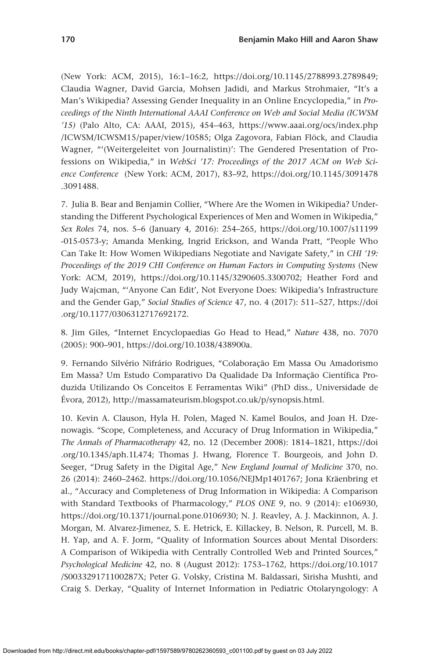(New York: ACM, 2015), 16:1–16:2, [https://doi.org/10.1145/2788993.2789849;](https://doi.org/10.1145/2788993.2789849) Claudia Wagner, David Garcia, Mohsen Jadidi, and Markus Strohmaier, "It's a Man's Wikipedia? Assessing Gender Inequality in an Online Encyclopedia," in *Proceedings of the Ninth International AAAI Conference on Web and Social Media (ICWSM '15)* (Palo Alto, CA: AAAI, 2015), 454–463, [https://www.aaai.org/ocs/index.php](https://www.aaai.org/ocs/index.php/ICWSM/ICWSM15/paper/view/10585) [/ICWSM/ICWSM15/paper/view/10585;](https://www.aaai.org/ocs/index.php/ICWSM/ICWSM15/paper/view/10585) Olga Zagovora, Fabian Flöck, and Claudia Wagner, "'(Weitergeleitet von Journalistin)': The Gendered Presentation of Professions on Wikipedia," in *WebSci '17: Proceedings of the 2017 ACM on Web Science Conference* (New York: ACM, 2017), 83–92, [https://doi.org/10.1145/3091478](https://doi.org/10.1145/3091478.3091488) [.3091488.](https://doi.org/10.1145/3091478.3091488)

7. Julia B. Bear and Benjamin Collier, "Where Are the Women in Wikipedia? Understanding the Different Psychological Experiences of Men and Women in Wikipedia," *Sex Roles* 74, nos. 5–6 (January 4, 2016): 254–265, [https://doi.org/10.1007/s11199](https://doi.org/10.1007/s11199-015-0573-y) [-015-0573-y](https://doi.org/10.1007/s11199-015-0573-y); Amanda Menking, Ingrid Erickson, and Wanda Pratt, "People Who Can Take It: How Women Wikipedians Negotiate and Navigate Safety," in *CHI '19: Proceedings of the 2019 CHI Conference on Human Factors in Computing Systems* (New York: ACM, 2019), [https://doi.org/10.1145/3290605.3300702;](https://doi.org/10.1145/3290605.3300702) Heather Ford and Judy Wajcman, "'Anyone Can Edit', Not Everyone Does: Wikipedia's Infrastructure and the Gender Gap," *Social Studies of Science* 47, no. 4 (2017): 511–527, [https://doi](https://doi.org/10.1177/0306312717692172) [.org/10.1177/0306312717692172](https://doi.org/10.1177/0306312717692172).

8. Jim Giles, "Internet Encyclopaedias Go Head to Head," *Nature* 438, no. 7070 (2005): 900–901, [https://doi.org/10.1038/438900a.](https://doi.org/10.1038/438900a)

9. Fernando Silvério Nifrário Rodrigues, "Colaboração Em Massa Ou Amadorismo Em Massa? Um Estudo Comparativo Da Qualidade Da Informação Científica Produzida Utilizando Os Conceitos E Ferramentas Wiki" (PhD diss., Universidade de Évora, 2012), [http://massamateurism.blogspot.co.uk/p/synopsis.html.](http://massamateurism.blogspot.co.uk/p/synopsis.html)

10. Kevin A. Clauson, Hyla H. Polen, Maged N. Kamel Boulos, and Joan H. Dzenowagis. "Scope, Completeness, and Accuracy of Drug Information in Wikipedia," *The Annals of Pharmacotherapy* 42, no. 12 (December 2008): 1814–1821, [https://doi](https://doi.org/10.1345/aph.1L474) [.org/10.1345/aph.1L474;](https://doi.org/10.1345/aph.1L474) Thomas J. Hwang, Florence T. Bourgeois, and John D. Seeger, "Drug Safety in the Digital Age," *New England Journal of Medicine* 370, no. 26 (2014): 2460–2462. [https://doi.org/10.1056/NEJMp1401767;](https://doi.org/10.1056/NEJMp1401767) Jona Kräenbring et al., "Accuracy and Completeness of Drug Information in Wikipedia: A Comparison with Standard Textbooks of Pharmacology," *PLOS ONE* 9, no. 9 (2014): e106930, <https://doi.org/10.1371/journal.pone.0106930>; N. J. Reavley, A. J. Mackinnon, A. J. Morgan, M. Alvarez-Jimenez, S. E. Hetrick, E. Killackey, B. Nelson, R. Purcell, M. B. H. Yap, and A. F. Jorm, "Quality of Information Sources about Mental Disorders: A Comparison of Wikipedia with Centrally Controlled Web and Printed Sources," *Psychological Medicine* 42, no. 8 (August 2012): 1753–1762, [https://doi.org/10.1017](https://doi.org/10.1017/S003329171100287X) [/S003329171100287X;](https://doi.org/10.1017/S003329171100287X) Peter G. Volsky, Cristina M. Baldassari, Sirisha Mushti, and Craig S. Derkay, "Quality of Internet Information in Pediatric Otolaryngology: A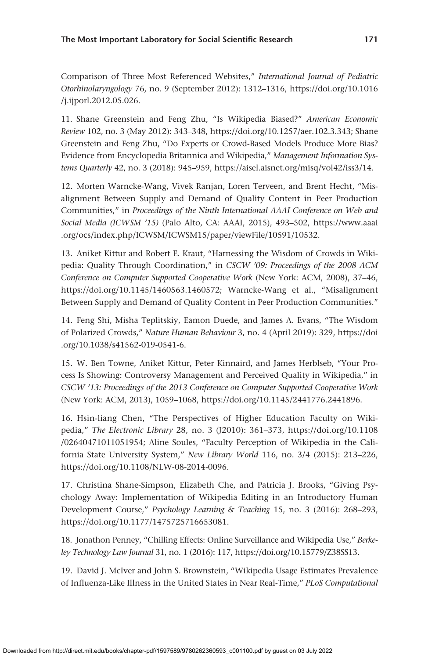Comparison of Three Most Referenced Websites," *International Journal of Pediatric Otorhinolaryngology* 76, no. 9 (September 2012): 1312–1316, [https://doi.org/10.1016](https://doi.org/10.1016/j.ijporl.2012.05.026) [/j.ijporl.2012.05.026.](https://doi.org/10.1016/j.ijporl.2012.05.026)

11. Shane Greenstein and Feng Zhu, "Is Wikipedia Biased?" *American Economic Review* 102, no. 3 (May 2012): 343–348, <https://doi.org/10.1257/aer.102.3.343>; Shane Greenstein and Feng Zhu, "Do Experts or Crowd-Based Models Produce More Bias? Evidence from Encyclopedia Britannica and Wikipedia," *Management Information Systems Quarterly* 42, no. 3 (2018): 945–959, [https://aisel.aisnet.org/misq/vol42/iss3/14.](https://aisel.aisnet.org/misq/vol42/iss3/14)

12. Morten Warncke-Wang, Vivek Ranjan, Loren Terveen, and Brent Hecht, "Misalignment Between Supply and Demand of Quality Content in Peer Production Communities," in *Proceedings of the Ninth International AAAI Conference on Web and Social Media (ICWSM '15)* (Palo Alto, CA: AAAI, 2015), 493–502, [https://www.aaai](https://www.aaai.org/ocs/index.php/ICWSM/ICWSM15/paper/viewFile/10591/10532) [.org/ocs/index.php/ICWSM/ICWSM15/paper/viewFile/10591/10532.](https://www.aaai.org/ocs/index.php/ICWSM/ICWSM15/paper/viewFile/10591/10532)

13. Aniket Kittur and Robert E. Kraut, "Harnessing the Wisdom of Crowds in Wikipedia: Quality Through Coordination," in *CSCW '09: Proceedings of the 2008 ACM Conference on Computer Supported Cooperative Work* (New York: ACM, 2008), 37–46, <https://doi.org/10.1145/1460563.1460572>; Warncke-Wang et al., "Misalignment Between Supply and Demand of Quality Content in Peer Production Communities."

14. Feng Shi, Misha Teplitskiy, Eamon Duede, and James A. Evans, "The Wisdom of Polarized Crowds," *Nature Human Behaviour* 3, no. 4 (April 2019): 329, [https://doi](https://doi.org/10.1038/s41562-019-0541-6) [.org/10.1038/s41562-019-0541-6.](https://doi.org/10.1038/s41562-019-0541-6)

15. W. Ben Towne, Aniket Kittur, Peter Kinnaird, and James Herblseb, "Your Process Is Showing: Controversy Management and Perceived Quality in Wikipedia," in *CSCW '13: Proceedings of the 2013 Conference on Computer Supported Cooperative Work* (New York: ACM, 2013), 1059–1068,<https://doi.org/10.1145/2441776.2441896>.

16. Hsin-liang Chen, "The Perspectives of Higher Education Faculty on Wikipedia," *The Electronic Library* 28, no. 3 (J2010): 361–373, [https://doi.org/10.1108](https://doi.org/10.1108/02640471011051954) [/02640471011051954;](https://doi.org/10.1108/02640471011051954) Aline Soules, "Faculty Perception of Wikipedia in the California State University System," *New Library World* 116, no. 3/4 (2015): 213–226, <https://doi.org/10.1108/NLW-08-2014-0096>.

17. Christina Shane-Simpson, Elizabeth Che, and Patricia J. Brooks, "Giving Psychology Away: Implementation of Wikipedia Editing in an Introductory Human Development Course," *Psychology Learning & Teaching* 15, no. 3 (2016): 268–293, <https://doi.org/10.1177/1475725716653081>.

18. Jonathon Penney, "Chilling Effects: Online Surveillance and Wikipedia Use," *Berkeley Technology Law Journal* 31, no. 1 (2016): 117, [https://doi.org/10.15779/Z38SS13.](https://doi.org/10.15779/Z38SS13)

19. David J. McIver and John S. Brownstein, "Wikipedia Usage Estimates Prevalence of Influenza-Like Illness in the United States in Near Real-Time," *PLoS Computational*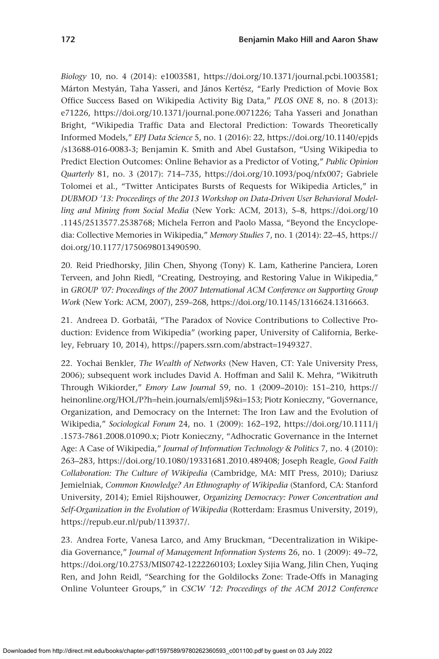*Biology* 10, no. 4 (2014): e1003581, [https://doi.org/10.1371/journal.pcbi.1003581;](https://doi.org/10.1371/journal.pcbi.1003581) Márton Mestyán, Taha Yasseri, and János Kertész, "Early Prediction of Movie Box Office Success Based on Wikipedia Activity Big Data," *PLOS ONE* 8, no. 8 (2013): e71226, [https://doi.org/10.1371/journal.pone.0071226;](https://doi.org/10.1371/journal.pone.0071226) Taha Yasseri and Jonathan Bright, "Wikipedia Traffic Data and Electoral Prediction: Towards Theoretically Informed Models," *EPJ Data Science* 5, no. 1 (2016): 22, [https://doi.org/10.1140/epjds](https://doi.org/10.1140/epjds/s13688-016-0083-3) [/s13688-016-0083-3;](https://doi.org/10.1140/epjds/s13688-016-0083-3) Benjamin K. Smith and Abel Gustafson, "Using Wikipedia to Predict Election Outcomes: Online Behavior as a Predictor of Voting," *Public Opinion Quarterly* 81, no. 3 (2017): 714–735, <https://doi.org/10.1093/poq/nfx007>; Gabriele Tolomei et al., "Twitter Anticipates Bursts of Requests for Wikipedia Articles," in *DUBMOD '13: Proceedings of the 2013 Workshop on Data-Driven User Behavioral Modelling and Mining from Social Media* (New York: ACM, 2013), 5–8, [https://doi.org/10](https://doi.org/10.1145/2513577.2538768) [.1145/2513577.2538768](https://doi.org/10.1145/2513577.2538768); Michela Ferron and Paolo Massa, "Beyond the Encyclopedia: Collective Memories in Wikipedia," *Memory Studies* 7, no. 1 (2014): 22–45, [https://](https://doi.org/10.1177/1750698013490590) [doi.org/10.1177/1750698013490590](https://doi.org/10.1177/1750698013490590).

20. Reid Priedhorsky, Jilin Chen, Shyong (Tony) K. Lam, Katherine Panciera, Loren Terveen, and John Riedl, "Creating, Destroying, and Restoring Value in Wikipedia," in *GROUP '07: Proceedings of the 2007 International ACM Conference on Supporting Group Work* (New York: ACM, 2007), 259–268, [https://doi.org/10.1145/1316624.1316663.](https://doi.org/10.1145/1316624.1316663)

21. Andreea D. Gorbatâi, "The Paradox of Novice Contributions to Collective Production: Evidence from Wikipedia" (working paper, University of California, Berkeley, February 10, 2014), [https://papers.ssrn.com/abstract](https://papers.ssrn.com/abstract=1949327)=1949327.

22. Yochai Benkler, *The Wealth of Networks* (New Haven, CT: Yale University Press, 2006); subsequent work includes David A. Hoffman and Salil K. Mehra, "Wikitruth Through Wikiorder," *Emory Law Journal* 59, no. 1 (2009–2010): 151–210, [https://](https://heinonline.org/HOL/P?h=hein.journals/emlj59&i=153) [heinonline.org/HOL/P?h](https://heinonline.org/HOL/P?h=hein.journals/emlj59&i=153)=hein.journals/emlj59&i=153; Piotr Konieczny, "Governance, Organization, and Democracy on the Internet: The Iron Law and the Evolution of Wikipedia," *Sociological Forum* 24, no. 1 (2009): 162–192, [https://doi.org/10.1111/j](https://doi.org/10.1111/j.1573-7861.2008.01090.x) [.1573-7861.2008.01090.x](https://doi.org/10.1111/j.1573-7861.2008.01090.x); Piotr Konieczny, "Adhocratic Governance in the Internet Age: A Case of Wikipedia," *Journal of Information Technology & Politics* 7, no. 4 (2010): 263–283,<https://doi.org/10.1080/19331681.2010.489408>; Joseph Reagle, *Good Faith Collaboration: The Culture of Wikipedia* (Cambridge, MA: MIT Press, 2010); Dariusz Jemielniak, *Common Knowledge? An Ethnography of Wikipedia* (Stanford, CA: Stanford University, 2014); Emiel Rijshouwer, *Organizing Democracy: Power Concentration and Self-Organization in the Evolution of Wikipedia* (Rotterdam: Erasmus University, 2019), <https://repub.eur.nl/pub/113937/>.

23. Andrea Forte, Vanesa Larco, and Amy Bruckman, "Decentralization in Wikipedia Governance," *Journal of Management Information Systems* 26, no. 1 (2009): 49–72, <https://doi.org/10.2753/MIS0742-1222260103>; Loxley Sijia Wang, Jilin Chen, Yuqing Ren, and John Reidl, "Searching for the Goldilocks Zone: Trade-Offs in Managing Online Volunteer Groups," in *CSCW '12: Proceedings of the ACM 2012 Conference*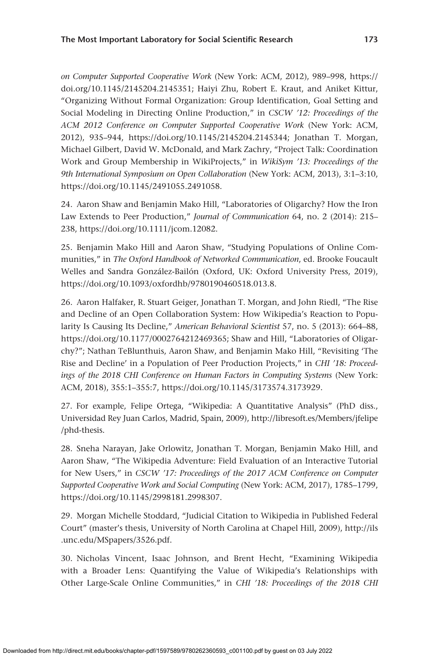*on Computer Supported Cooperative Work* (New York: ACM, 2012), 989–998, [https://](https://doi.org/10.1145/2145204.2145351) [doi.org/10.1145/2145204.2145351;](https://doi.org/10.1145/2145204.2145351) Haiyi Zhu, Robert E. Kraut, and Aniket Kittur, "Organizing Without Formal Organization: Group Identification, Goal Setting and Social Modeling in Directing Online Production," in *CSCW '12: Proceedings of the ACM 2012 Conference on Computer Supported Cooperative Work* (New York: ACM, 2012), 935–944, [https://doi.org/10.1145/2145204.2145344;](https://doi.org/10.1145/2145204.2145344) Jonathan T. Morgan, Michael Gilbert, David W. McDonald, and Mark Zachry, "Project Talk: Coordination Work and Group Membership in WikiProjects," in *WikiSym '13: Proceedings of the 9th International Symposium on Open Collaboration* (New York: ACM, 2013), 3:1–3:10, <https://doi.org/10.1145/2491055.2491058>.

24. Aaron Shaw and Benjamin Mako Hill, "Laboratories of Oligarchy? How the Iron Law Extends to Peer Production," *Journal of Communication* 64, no. 2 (2014): 215– 238,<https://doi.org/10.1111/jcom.12082>.

25. Benjamin Mako Hill and Aaron Shaw, "Studying Populations of Online Communities," in *The Oxford Handbook of Networked Communication*, ed. Brooke Foucault Welles and Sandra González-Bailón (Oxford, UK: Oxford University Press, 2019), [https://doi.org/10.1093/oxfordhb/9780190460518.013.8.](https://doi.org/10.1093/oxfordhb/9780190460518.013.8)

26. Aaron Halfaker, R. Stuart Geiger, Jonathan T. Morgan, and John Riedl, "The Rise and Decline of an Open Collaboration System: How Wikipedia's Reaction to Popularity Is Causing Its Decline," *American Behavioral Scientist* 57, no. 5 (2013): 664–88, <https://doi.org/10.1177/0002764212469365>; Shaw and Hill, "Laboratories of Oligarchy?"; Nathan TeBlunthuis, Aaron Shaw, and Benjamin Mako Hill, "Revisiting 'The Rise and Decline' in a Population of Peer Production Projects," in *CHI '18: Proceedings of the 2018 CHI Conference on Human Factors in Computing Systems* (New York: ACM, 2018), 355:1–355:7,<https://doi.org/10.1145/3173574.3173929>.

27. For example, Felipe Ortega, "Wikipedia: A Quantitative Analysis" (PhD diss., Universidad Rey Juan Carlos, Madrid, Spain, 2009), [http://libresoft.es/Members/jfelipe](http://libresoft.es/Members/jfelipe/phd-thesis) [/phd-thesis.](http://libresoft.es/Members/jfelipe/phd-thesis)

28. Sneha Narayan, Jake Orlowitz, Jonathan T. Morgan, Benjamin Mako Hill, and Aaron Shaw, "The Wikipedia Adventure: Field Evaluation of an Interactive Tutorial for New Users," in *CSCW '17: Proceedings of the 2017 ACM Conference on Computer Supported Cooperative Work and Social Computing* (New York: ACM, 2017), 1785–1799, <https://doi.org/10.1145/2998181.2998307>.

29. Morgan Michelle Stoddard, "Judicial Citation to Wikipedia in Published Federal Court" (master's thesis, University of North Carolina at Chapel Hill, 2009), [http://ils](http://ils.unc.edu/MSpapers/3526.pdf) [.unc.edu/MSpapers/3526.pdf](http://ils.unc.edu/MSpapers/3526.pdf).

30. Nicholas Vincent, Isaac Johnson, and Brent Hecht, "Examining Wikipedia with a Broader Lens: Quantifying the Value of Wikipedia's Relationships with Other Large-Scale Online Communities," in *CHI '18: Proceedings of the 2018 CHI*